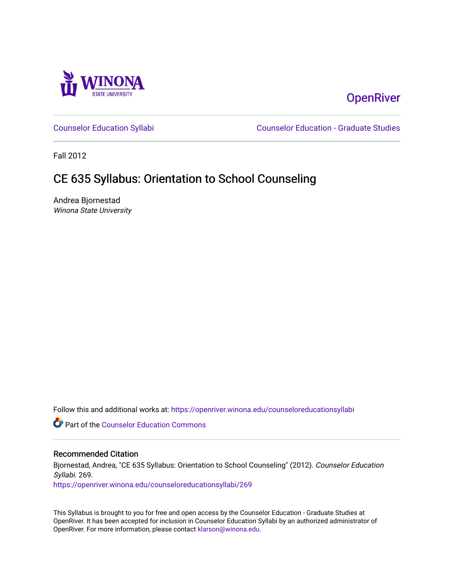

# **OpenRiver**

[Counselor Education Syllabi](https://openriver.winona.edu/counseloreducationsyllabi) [Counselor Education - Graduate Studies](https://openriver.winona.edu/counseloreducation) 

Fall 2012

# CE 635 Syllabus: Orientation to School Counseling

Andrea Bjornestad Winona State University

Follow this and additional works at: [https://openriver.winona.edu/counseloreducationsyllabi](https://openriver.winona.edu/counseloreducationsyllabi?utm_source=openriver.winona.edu%2Fcounseloreducationsyllabi%2F269&utm_medium=PDF&utm_campaign=PDFCoverPages)

Part of the [Counselor Education Commons](http://network.bepress.com/hgg/discipline/1278?utm_source=openriver.winona.edu%2Fcounseloreducationsyllabi%2F269&utm_medium=PDF&utm_campaign=PDFCoverPages) 

#### Recommended Citation

Bjornestad, Andrea, "CE 635 Syllabus: Orientation to School Counseling" (2012). Counselor Education Syllabi. 269.

[https://openriver.winona.edu/counseloreducationsyllabi/269](https://openriver.winona.edu/counseloreducationsyllabi/269?utm_source=openriver.winona.edu%2Fcounseloreducationsyllabi%2F269&utm_medium=PDF&utm_campaign=PDFCoverPages)

This Syllabus is brought to you for free and open access by the Counselor Education - Graduate Studies at OpenRiver. It has been accepted for inclusion in Counselor Education Syllabi by an authorized administrator of OpenRiver. For more information, please contact [klarson@winona.edu](mailto:klarson@winona.edu).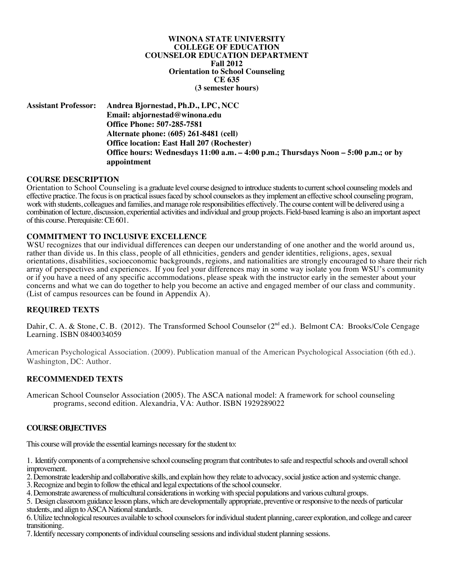**WINONA STATE UNIVERSITY COLLEGE OF EDUCATION COUNSELOR EDUCATION DEPARTMENT Fall 2012 Orientation to School Counseling CE 635 (3 semester hours)**

**Assistant Professor: Andrea Bjornestad, Ph.D., LPC, NCC Email: abjornestad@winona.edu Office Phone: 507-285-7581 Alternate phone: (605) 261-8481 (cell) Office location: East Hall 207 (Rochester) Office hours: Wednesdays 11:00 a.m. – 4:00 p.m.; Thursdays Noon – 5:00 p.m.; or by appointment**

#### **COURSE DESCRIPTION**

Orientation to School Counseling is a graduate level course designed to introduce students to current school counseling models and effective practice. The focus is on practical issues faced by school counselors as they implement an effective school counseling program, work with students, colleagues and families, and manage role responsibilities effectively. The course content will be delivered using a combination of lecture, discussion, experiential activities and individual and group projects. Field-based learning is also an important aspect of this course. Prerequisite: CE 601.

#### **COMMITMENT TO INCLUSIVE EXCELLENCE**

WSU recognizes that our individual differences can deepen our understanding of one another and the world around us, rather than divide us. In this class, people of all ethnicities, genders and gender identities, religions, ages, sexual orientations, disabilities, socioeconomic backgrounds, regions, and nationalities are strongly encouraged to share their rich array of perspectives and experiences. If you feel your differences may in some way isolate you from WSU's community or if you have a need of any specific accommodations, please speak with the instructor early in the semester about your concerns and what we can do together to help you become an active and engaged member of our class and community. (List of campus resources can be found in Appendix A).

# **REQUIRED TEXTS**

Dahir, C. A. & Stone, C. B. (2012). The Transformed School Counselor (2<sup>nd</sup> ed.). Belmont CA: Brooks/Cole Cengage Learning. ISBN 0840034059

American Psychological Association. (2009). Publication manual of the American Psychological Association (6th ed.). Washington, DC: Author.

#### **RECOMMENDED TEXTS**

American School Counselor Association (2005). The ASCA national model: A framework for school counseling programs, second edition. Alexandria, VA: Author. ISBN 1929289022

#### **COURSE OBJECTIVES**

This course will provide the essential learnings necessary for the student to:

1. Identify components of a comprehensive school counseling program that contributes to safe and respectful schools and overall school improvement.

2. Demonstrate leadership and collaborative skills, and explain how they relate to advocacy, social justice action and systemic change.

3. Recognize and begin to follow the ethical and legal expectations of the school counselor.

4. Demonstrate awareness of multicultural considerations in working with special populations and various cultural groups.

5. Design classroom guidance lesson plans, which are developmentally appropriate, preventive or responsive to the needs of particular students, and align to ASCA National standards.

6. Utilize technological resources available to school counselors for individual student planning, career exploration, and college and career transitioning.

7. Identify necessary components of individual counseling sessions and individual student planning sessions.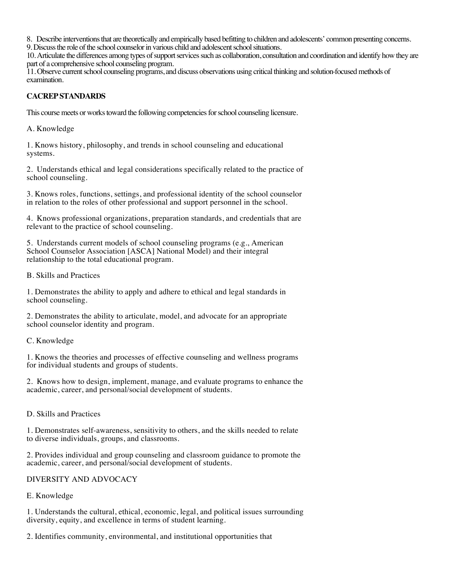8. Describe interventions that are theoretically and empirically based befitting to children and adolescents' common presenting concerns.

9. Discuss the role of the school counselor in various child and adolescent school situations.

10. Articulate the differences among types of support services such as collaboration, consultation and coordination and identify how they are part of a comprehensive school counseling program.

11. Observe current school counseling programs, and discuss observations using critical thinking and solution-focused methods of examination.

# **CACREP STANDARDS**

This course meets or works toward the following competencies for school counseling licensure.

A. Knowledge

1. Knows history, philosophy, and trends in school counseling and educational systems.

2. Understands ethical and legal considerations specifically related to the practice of school counseling.

3. Knows roles, functions, settings, and professional identity of the school counselor in relation to the roles of other professional and support personnel in the school.

4. Knows professional organizations, preparation standards, and credentials that are relevant to the practice of school counseling.

5. Understands current models of school counseling programs (e.g., American School Counselor Association [ASCA] National Model) and their integral relationship to the total educational program.

B. Skills and Practices

1. Demonstrates the ability to apply and adhere to ethical and legal standards in school counseling.

2. Demonstrates the ability to articulate, model, and advocate for an appropriate school counselor identity and program.

C. Knowledge

1. Knows the theories and processes of effective counseling and wellness programs for individual students and groups of students.

2. Knows how to design, implement, manage, and evaluate programs to enhance the academic, career, and personal/social development of students.

D. Skills and Practices

1. Demonstrates self-awareness, sensitivity to others, and the skills needed to relate to diverse individuals, groups, and classrooms.

2. Provides individual and group counseling and classroom guidance to promote the academic, career, and personal/social development of students.

DIVERSITY AND ADVOCACY

# E. Knowledge

1. Understands the cultural, ethical, economic, legal, and political issues surrounding diversity, equity, and excellence in terms of student learning.

2. Identifies community, environmental, and institutional opportunities that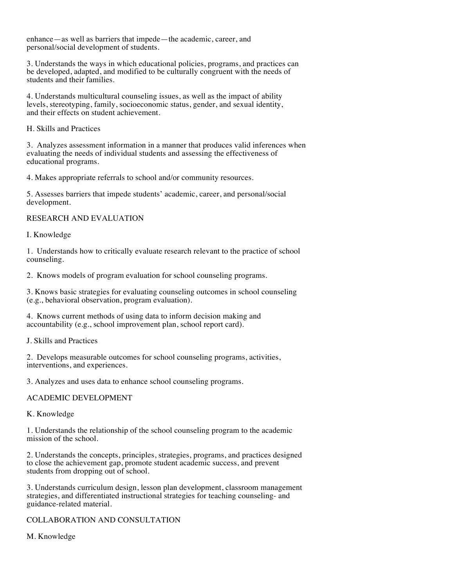enhance—as well as barriers that impede—the academic, career, and personal/social development of students.

3. Understands the ways in which educational policies, programs, and practices can be developed, adapted, and modified to be culturally congruent with the needs of students and their families.

4. Understands multicultural counseling issues, as well as the impact of ability levels, stereotyping, family, socioeconomic status, gender, and sexual identity, and their effects on student achievement.

H. Skills and Practices

3. Analyzes assessment information in a manner that produces valid inferences when evaluating the needs of individual students and assessing the effectiveness of educational programs.

4. Makes appropriate referrals to school and/or community resources.

5. Assesses barriers that impede students' academic, career, and personal/social development.

# RESEARCH AND EVALUATION

I. Knowledge

1. Understands how to critically evaluate research relevant to the practice of school counseling.

2. Knows models of program evaluation for school counseling programs.

3. Knows basic strategies for evaluating counseling outcomes in school counseling (e.g., behavioral observation, program evaluation).

4. Knows current methods of using data to inform decision making and accountability (e.g., school improvement plan, school report card).

J. Skills and Practices

2. Develops measurable outcomes for school counseling programs, activities, interventions, and experiences.

3. Analyzes and uses data to enhance school counseling programs.

# ACADEMIC DEVELOPMENT

K. Knowledge

1. Understands the relationship of the school counseling program to the academic mission of the school.

2. Understands the concepts, principles, strategies, programs, and practices designed to close the achievement gap, promote student academic success, and prevent students from dropping out of school.

3. Understands curriculum design, lesson plan development, classroom management strategies, and differentiated instructional strategies for teaching counseling- and guidance-related material.

COLLABORATION AND CONSULTATION

M. Knowledge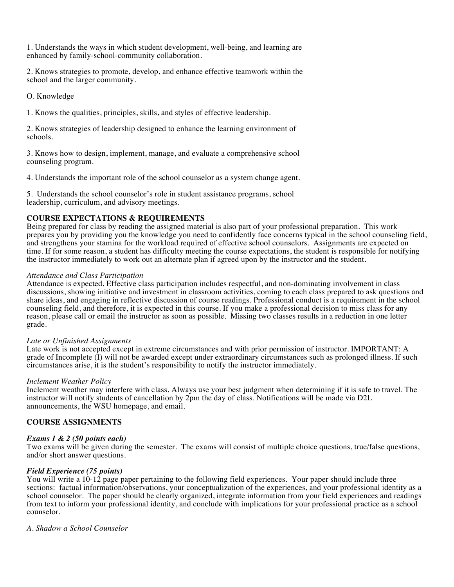1. Understands the ways in which student development, well-being, and learning are enhanced by family-school-community collaboration.

2. Knows strategies to promote, develop, and enhance effective teamwork within the school and the larger community.

O. Knowledge

1. Knows the qualities, principles, skills, and styles of effective leadership.

2. Knows strategies of leadership designed to enhance the learning environment of schools.

3. Knows how to design, implement, manage, and evaluate a comprehensive school counseling program.

4. Understands the important role of the school counselor as a system change agent.

5. Understands the school counselor's role in student assistance programs, school leadership, curriculum, and advisory meetings.

# **COURSE EXPECTATIONS & REQUIREMENTS**

Being prepared for class by reading the assigned material is also part of your professional preparation. This work prepares you by providing you the knowledge you need to confidently face concerns typical in the school counseling field, and strengthens your stamina for the workload required of effective school counselors. Assignments are expected on time. If for some reason, a student has difficulty meeting the course expectations, the student is responsible for notifying the instructor immediately to work out an alternate plan if agreed upon by the instructor and the student.

#### *Attendance and Class Participation*

Attendance is expected. Effective class participation includes respectful, and non-dominating involvement in class discussions, showing initiative and investment in classroom activities, coming to each class prepared to ask questions and share ideas, and engaging in reflective discussion of course readings. Professional conduct is a requirement in the school counseling field, and therefore, it is expected in this course. If you make a professional decision to miss class for any reason, please call or email the instructor as soon as possible. Missing two classes results in a reduction in one letter grade.

#### *Late or Unfinished Assignments*

Late work is not accepted except in extreme circumstances and with prior permission of instructor. IMPORTANT: A grade of Incomplete (I) will not be awarded except under extraordinary circumstances such as prolonged illness. If such circumstances arise, it is the student's responsibility to notify the instructor immediately.

#### *Inclement Weather Policy*

Inclement weather may interfere with class. Always use your best judgment when determining if it is safe to travel. The instructor will notify students of cancellation by 2pm the day of class. Notifications will be made via D2L announcements, the WSU homepage, and email.

#### **COURSE ASSIGNMENTS**

#### *Exams 1 & 2 (50 points each)*

Two exams will be given during the semester. The exams will consist of multiple choice questions, true/false questions, and/or short answer questions.

#### *Field Experience (75 points)*

You will write a 10-12 page paper pertaining to the following field experiences. Your paper should include three sections: factual information/observations, your conceptualization of the experiences, and your professional identity as a school counselor. The paper should be clearly organized, integrate information from your field experiences and readings from text to inform your professional identity, and conclude with implications for your professional practice as a school counselor.

#### *A. Shadow a School Counselor*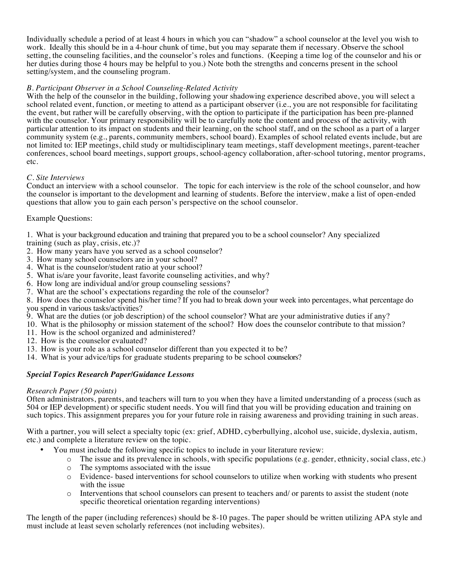Individually schedule a period of at least 4 hours in which you can "shadow" a school counselor at the level you wish to work. Ideally this should be in a 4-hour chunk of time, but you may separate them if necessary. Observe the school setting, the counseling facilities, and the counselor's roles and functions. (Keeping a time log of the counselor and his or her duties during those 4 hours may be helpful to you.) Note both the strengths and concerns present in the school setting/system, and the counseling program.

# *B. Participant Observer in a School Counseling-Related Activity*

With the help of the counselor in the building, following your shadowing experience described above, you will select a school related event, function, or meeting to attend as a participant observer (i.e., you are not responsible for facilitating the event, but rather will be carefully observing, with the option to participate if the participation has been pre-planned with the counselor. Your primary responsibility will be to carefully note the content and process of the activity, with particular attention to its impact on students and their learning, on the school staff, and on the school as a part of a larger community system (e.g., parents, community members, school board). Examples of school related events include, but are not limited to: IEP meetings, child study or multidisciplinary team meetings, staff development meetings, parent-teacher conferences, school board meetings, support groups, school-agency collaboration, after-school tutoring, mentor programs, etc.

# *C. Site Interviews*

Conduct an interview with a school counselor. The topic for each interview is the role of the school counselor, and how the counselor is important to the development and learning of students. Before the interview, make a list of open-ended questions that allow you to gain each person's perspective on the school counselor.

# Example Questions:

1. What is your background education and training that prepared you to be a school counselor? Any specialized

- training (such as play, crisis, etc.)?
- 2. How many years have you served as a school counselor?
- 3. How many school counselors are in your school?
- 4. What is the counselor/student ratio at your school?
- 5. What is/are your favorite, least favorite counseling activities, and why?
- 6. How long are individual and/or group counseling sessions?
- 7. What are the school's expectations regarding the role of the counselor?

8. How does the counselor spend his/her time? If you had to break down your week into percentages, what percentage do you spend in various tasks/activities?

- 9. What are the duties (or job description) of the school counselor? What are your administrative duties if any?
- 10. What is the philosophy or mission statement of the school? How does the counselor contribute to that mission?
- 11. How is the school organized and administered?
- 12. How is the counselor evaluated?
- 13. How is your role as a school counselor different than you expected it to be?
- 14. What is your advice/tips for graduate students preparing to be school counselors?

# *Special Topics Research Paper/Guidance Lessons*

# *Research Paper (50 points)*

Often administrators, parents, and teachers will turn to you when they have a limited understanding of a process (such as 504 or IEP development) or specific student needs. You will find that you will be providing education and training on such topics. This assignment prepares you for your future role in raising awareness and providing training in such areas.

With a partner, you will select a specialty topic (ex: grief, ADHD, cyberbullying, alcohol use, suicide, dyslexia, autism, etc.) and complete a literature review on the topic.

- You must include the following specific topics to include in your literature review:
	- o The issue and its prevalence in schools, with specific populations (e.g. gender, ethnicity, social class, etc.)
	- o The symptoms associated with the issue
	- o Evidence- based interventions for school counselors to utilize when working with students who present with the issue
	- o Interventions that school counselors can present to teachers and/ or parents to assist the student (note specific theoretical orientation regarding interventions)

The length of the paper (including references) should be 8-10 pages. The paper should be written utilizing APA style and must include at least seven scholarly references (not including websites).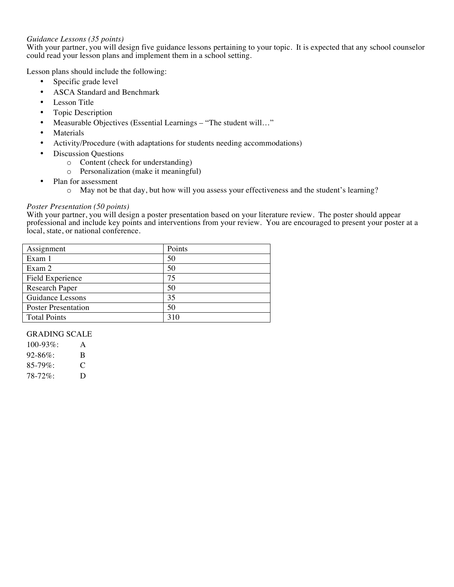# *Guidance Lessons (35 points)*

With your partner, you will design five guidance lessons pertaining to your topic. It is expected that any school counselor could read your lesson plans and implement them in a school setting.

Lesson plans should include the following:

- Specific grade level
- ASCA Standard and Benchmark
- Lesson Title
- Topic Description
- Measurable Objectives (Essential Learnings "The student will..."
- **Materials**
- Activity/Procedure (with adaptations for students needing accommodations)
- Discussion Questions
	- o Content (check for understanding)
	- o Personalization (make it meaningful)
- Plan for assessment
	- o May not be that day, but how will you assess your effectiveness and the student's learning?

#### *Poster Presentation (50 points)*

With your partner, you will design a poster presentation based on your literature review. The poster should appear professional and include key points and interventions from your review. You are encouraged to present your poster at a local, state, or national conference.

| Assignment                 | Points |
|----------------------------|--------|
| Exam 1                     | 50     |
| Exam 2                     | 50     |
| Field Experience           | 75     |
| Research Paper             | 50     |
| Guidance Lessons           | 35     |
| <b>Poster Presentation</b> | 50     |
| <b>Total Points</b>        | 310    |

# GRADING SCALE

| $100-93\%$  | A |
|-------------|---|
| $92 - 86\%$ | B |
| $85-79\%$   | C |
| $78-72\%$   | D |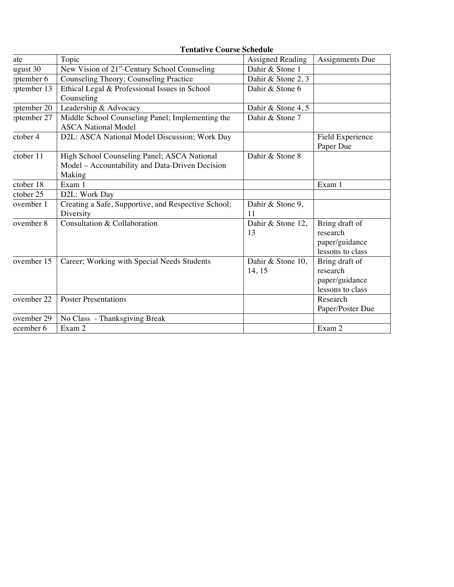|             | Tentative Course Schedule                                 |                    |                  |
|-------------|-----------------------------------------------------------|--------------------|------------------|
| ate         | Topic                                                     | Assigned Reading   | Assignments Due  |
| ugust 30    | New Vision of 21 <sup>st</sup> -Century School Counseling | Dahir & Stone 1    |                  |
| eptember 6  | Counseling Theory; Counseling Practice                    | Dahir & Stone 2, 3 |                  |
| eptember 13 | Ethical Legal & Professional Issues in School             | Dahir & Stone 6    |                  |
|             | Counseling                                                |                    |                  |
| eptember 20 | Leadership & Advocacy                                     | Dahir & Stone 4, 5 |                  |
| eptember 27 | Middle School Counseling Panel; Implementing the          | Dahir & Stone 7    |                  |
|             | <b>ASCA National Model</b>                                |                    |                  |
| ctober 4    | D2L: ASCA National Model Discussion; Work Day             |                    | Field Experience |
|             |                                                           |                    | Paper Due        |
| ctober 11   | High School Counseling Panel; ASCA National               | Dahir & Stone 8    |                  |
|             | Model - Accountability and Data-Driven Decision           |                    |                  |
|             | Making                                                    |                    |                  |
| ctober 18   | Exam 1                                                    |                    | Exam 1           |
| ctober 25   | D2L: Work Day                                             |                    |                  |
| ovember 1   | Creating a Safe, Supportive, and Respective School;       | Dahir & Stone 9,   |                  |
|             | Diversity                                                 | 11                 |                  |
| ovember 8   | Consultation & Collaboration                              | Dahir & Stone 12,  | Bring draft of   |
|             |                                                           | 13                 | research         |
|             |                                                           |                    | paper/guidance   |
|             |                                                           |                    | lessons to class |
| ovember 15  | Career; Working with Special Needs Students               | Dahir & Stone 10,  | Bring draft of   |
|             |                                                           | 14, 15             | research         |
|             |                                                           |                    | paper/guidance   |
|             |                                                           |                    | lessons to class |
| ovember 22  | <b>Poster Presentations</b>                               |                    | Research         |
|             |                                                           |                    | Paper/Poster Due |
| ovember 29  | No Class - Thanksgiving Break                             |                    |                  |
| ecember 6   | Exam 2                                                    |                    | Exam 2           |

# **Tentative Course Schedule**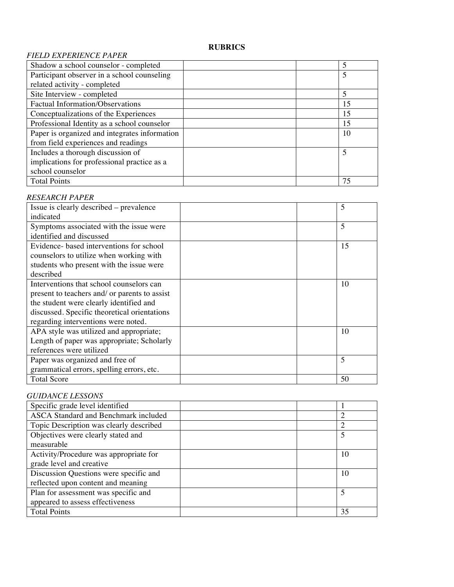# **RUBRICS**

# *FIELD EXPERIENCE PAPER*

| Shadow a school counselor - completed         |  |    |
|-----------------------------------------------|--|----|
| Participant observer in a school counseling   |  |    |
| related activity - completed                  |  |    |
| Site Interview - completed                    |  | 5  |
| Factual Information/Observations              |  | 15 |
| Conceptualizations of the Experiences         |  | 15 |
| Professional Identity as a school counselor   |  | 15 |
| Paper is organized and integrates information |  | 10 |
| from field experiences and readings           |  |    |
| Includes a thorough discussion of             |  | 5  |
| implications for professional practice as a   |  |    |
| school counselor                              |  |    |
| <b>Total Points</b>                           |  | 75 |

# *RESEARCH PAPER*

| Issue is clearly described – prevalence       |  | 5  |
|-----------------------------------------------|--|----|
| indicated                                     |  |    |
| Symptoms associated with the issue were       |  | 5  |
| identified and discussed                      |  |    |
| Evidence- based interventions for school      |  | 15 |
| counselors to utilize when working with       |  |    |
| students who present with the issue were      |  |    |
| described                                     |  |    |
| Interventions that school counselors can      |  | 10 |
| present to teachers and/ or parents to assist |  |    |
| the student were clearly identified and       |  |    |
| discussed. Specific theoretical orientations  |  |    |
| regarding interventions were noted.           |  |    |
| APA style was utilized and appropriate;       |  | 10 |
| Length of paper was appropriate; Scholarly    |  |    |
| references were utilized                      |  |    |
| Paper was organized and free of               |  | 5  |
| grammatical errors, spelling errors, etc.     |  |    |
| <b>Total Score</b>                            |  | 50 |

# *GUIDANCE LESSONS*

| Specific grade level identified         |    |
|-----------------------------------------|----|
| ASCA Standard and Benchmark included    | ി  |
| Topic Description was clearly described | ◠  |
| Objectives were clearly stated and      |    |
| measurable                              |    |
| Activity/Procedure was appropriate for  | 10 |
| grade level and creative                |    |
| Discussion Questions were specific and  | 10 |
| reflected upon content and meaning      |    |
| Plan for assessment was specific and    | 5  |
| appeared to assess effectiveness        |    |
| <b>Total Points</b>                     | 35 |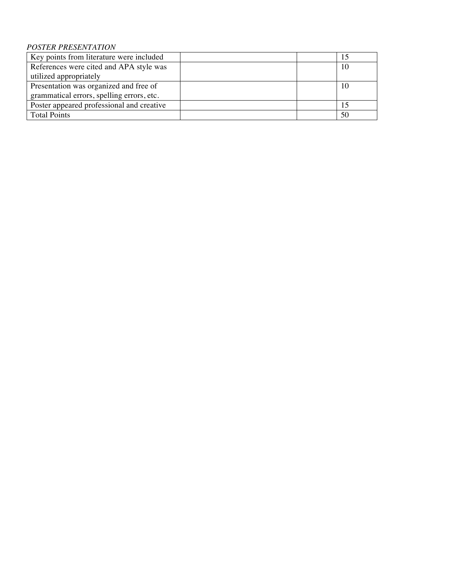# *POSTER PRESENTATION*

| Key points from literature were included  |  | 15 |
|-------------------------------------------|--|----|
| References were cited and APA style was   |  | 10 |
| utilized appropriately                    |  |    |
| Presentation was organized and free of    |  | 10 |
| grammatical errors, spelling errors, etc. |  |    |
| Poster appeared professional and creative |  |    |
| <b>Total Points</b>                       |  | 50 |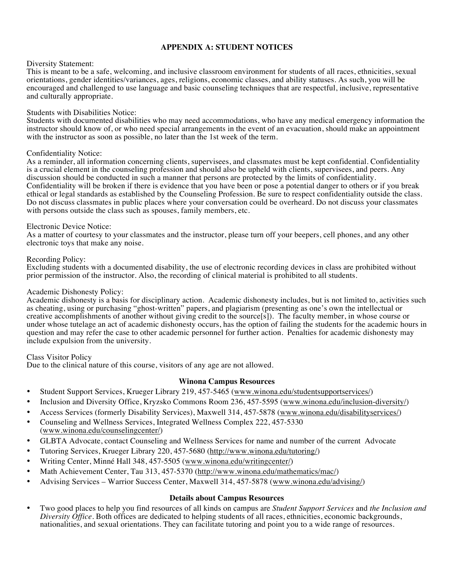# **APPENDIX A: STUDENT NOTICES**

#### Diversity Statement:

This is meant to be a safe, welcoming, and inclusive classroom environment for students of all races, ethnicities, sexual orientations, gender identities/variances, ages, religions, economic classes, and ability statuses. As such, you will be encouraged and challenged to use language and basic counseling techniques that are respectful, inclusive, representative and culturally appropriate.

#### Students with Disabilities Notice:

Students with documented disabilities who may need accommodations, who have any medical emergency information the instructor should know of, or who need special arrangements in the event of an evacuation, should make an appointment with the instructor as soon as possible, no later than the 1st week of the term.

#### Confidentiality Notice:

As a reminder, all information concerning clients, supervisees, and classmates must be kept confidential. Confidentiality is a crucial element in the counseling profession and should also be upheld with clients, supervisees, and peers. Any discussion should be conducted in such a manner that persons are protected by the limits of confidentiality. Confidentiality will be broken if there is evidence that you have been or pose a potential danger to others or if you break ethical or legal standards as established by the Counseling Profession. Be sure to respect confidentiality outside the class. Do not discuss classmates in public places where your conversation could be overheard. Do not discuss your classmates with persons outside the class such as spouses, family members, etc.

#### Electronic Device Notice:

As a matter of courtesy to your classmates and the instructor, please turn off your beepers, cell phones, and any other electronic toys that make any noise.

#### Recording Policy:

Excluding students with a documented disability, the use of electronic recording devices in class are prohibited without prior permission of the instructor. Also, the recording of clinical material is prohibited to all students.

#### Academic Dishonesty Policy:

Academic dishonesty is a basis for disciplinary action. Academic dishonesty includes, but is not limited to, activities such as cheating, using or purchasing "ghost-written" papers, and plagiarism (presenting as one's own the intellectual or creative accomplishments of another without giving credit to the source[s]). The faculty member, in whose course or under whose tutelage an act of academic dishonesty occurs, has the option of failing the students for the academic hours in question and may refer the case to other academic personnel for further action. Penalties for academic dishonesty may include expulsion from the university.

#### Class Visitor Policy

Due to the clinical nature of this course, visitors of any age are not allowed.

# **Winona Campus Resources**

- Student Support Services, Krueger Library 219, 457-5465 (www.winona.edu/studentsupportservices/)
- Inclusion and Diversity Office, Kryzsko Commons Room 236, 457-5595 (www.winona.edu/inclusion-diversity/)
- Access Services (formerly Disability Services), Maxwell 314, 457-5878 (www.winona.edu/disabilityservices/)
- Counseling and Wellness Services, Integrated Wellness Complex 222, 457-5330 (www.winona.edu/counselingcenter/)
- GLBTA Advocate, contact Counseling and Wellness Services for name and number of the current Advocate
- Tutoring Services, Krueger Library 220, 457-5680 (http://www.winona.edu/tutoring/)
- Writing Center, Minné Hall 348, 457-5505 (www.winona.edu/writingcenter/)
- Math Achievement Center, Tau 313, 457-5370 (http://www.winona.edu/mathematics/mac/)
- Advising Services Warrior Success Center, Maxwell 314, 457-5878 (www.winona.edu/advising/)

#### **Details about Campus Resources**

• Two good places to help you find resources of all kinds on campus are *Student Support Services* and *the Inclusion and Diversity Office*. Both offices are dedicated to helping students of all races, ethnicities, economic backgrounds, nationalities, and sexual orientations. They can facilitate tutoring and point you to a wide range of resources.